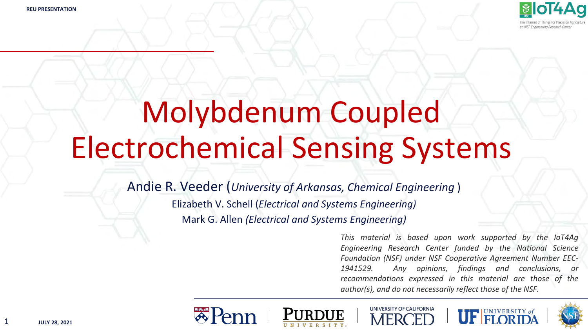

# Molybdenum Coupled Electrochemical Sensing Systems

Andie R. Veeder (*University of Arkansas, Chemical Engineering* ) Elizabeth V. Schell (*Electrical and Systems Engineering)* Mark G. Allen *(Electrical and Systems Engineering)*

> *This material is based upon work supported by the IoT4Ag Engineering Research Center funded by the National Science Foundation (NSF) under NSF Cooperative Agreement Number EEC-1941529. Any opinions, findings and conclusions, or recommendations expressed in this material are those of the author(s), and do not necessarily reflect those of the NSF.*











1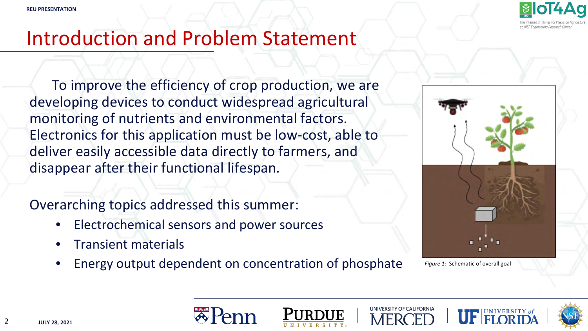

### Introduction and Problem Statement

To improve the efficiency of crop production, we are developing devices to conduct widespread agricultural monitoring of nutrients and environmental factors. Electronics for this application must be low-cost, able to deliver easily accessible data directly to farmers, and disappear after their functional lifespan.

Overarching topics addressed this summer:

- Electrochemical sensors and power sources
- Transient materials
- Energy output dependent on concentration of phosphate



*Figure 1:* Schematic of overall goal









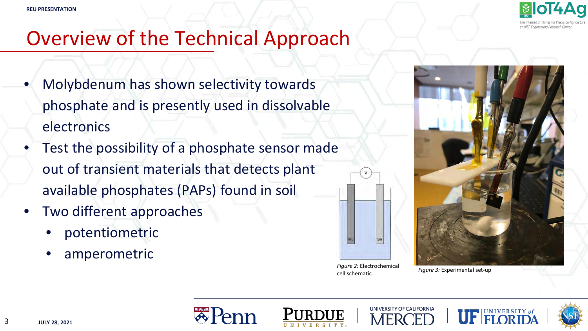

## Overview of the Technical Approach

- Molybdenum has shown selectivity towards phosphate and is presently used in dissolvable electronics
- Test the possibility of a phosphate sensor made out of transient materials that detects plant available phosphates (PAPs) found in soil
- Two different approaches
	- potentiometric
	- amperometric



*Figure 2:* Electrochemical *Figure 3:* Experimental set-up cell schematic





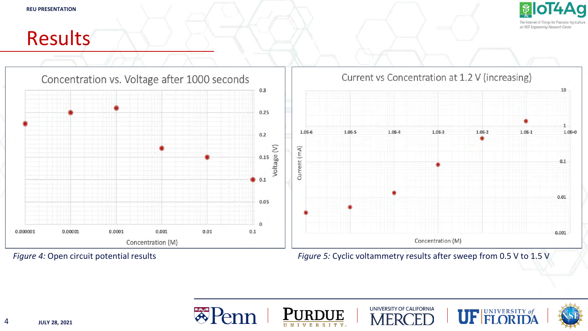

#### Results



*Figure 4:* Open circuit potential results

*Figure 5:* Cyclic voltammetry results after sweep from 0.5 V to 1.5 V







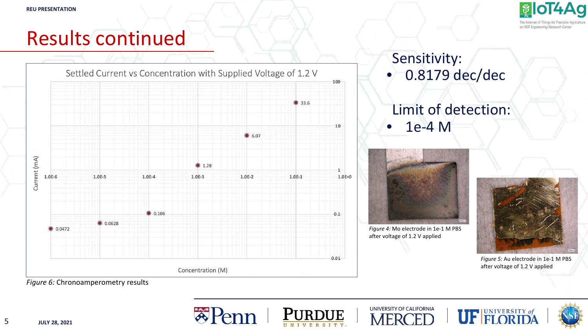

## Results continued



#### Sensitivity: • 0.8179 dec/dec

#### Limit of detection: • 1e-4 M



*Figure 4:* Mo electrode in 1e-1 M PBS after voltage of 1.2 V applied



*Figure 5:* Au electrode in 1e-1 M PBS after voltage of 1.2 V applied

*Figure 6:* Chronoamperometry results